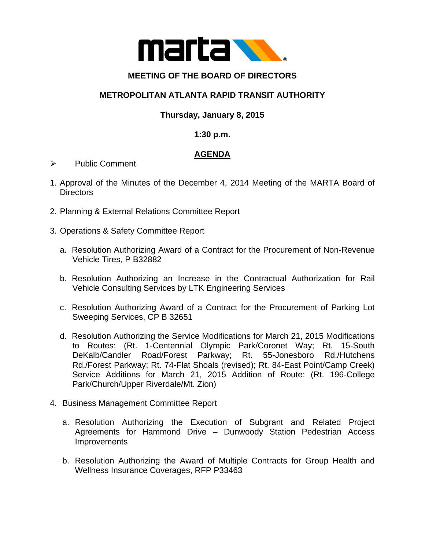

## **MEETING OF THE BOARD OF DIRECTORS**

## **METROPOLITAN ATLANTA RAPID TRANSIT AUTHORITY**

# **Thursday, January 8, 2015**

### **1:30 p.m.**

### **AGENDA**

- $\triangleright$  Public Comment
- 1. Approval of the Minutes of the December 4, 2014 Meeting of the MARTA Board of Directors
- 2. Planning & External Relations Committee Report
- 3. Operations & Safety Committee Report
	- a. Resolution Authorizing Award of a Contract for the Procurement of Non-Revenue Vehicle Tires, P B32882
	- b. Resolution Authorizing an Increase in the Contractual Authorization for Rail Vehicle Consulting Services by LTK Engineering Services
	- c. Resolution Authorizing Award of a Contract for the Procurement of Parking Lot Sweeping Services, CP B 32651
	- d. Resolution Authorizing the Service Modifications for March 21, 2015 Modifications to Routes: (Rt. 1-Centennial Olympic Park/Coronet Way; Rt. 15-South DeKalb/Candler Road/Forest Parkway; Rt. 55-Jonesboro Rd./Hutchens Rd./Forest Parkway; Rt. 74-Flat Shoals (revised); Rt. 84-East Point/Camp Creek) Service Additions for March 21, 2015 Addition of Route: (Rt. 196-College Park/Church/Upper Riverdale/Mt. Zion)
- 4. Business Management Committee Report
	- a. Resolution Authorizing the Execution of Subgrant and Related Project Agreements for Hammond Drive – Dunwoody Station Pedestrian Access **Improvements**
	- b. Resolution Authorizing the Award of Multiple Contracts for Group Health and Wellness Insurance Coverages, RFP P33463